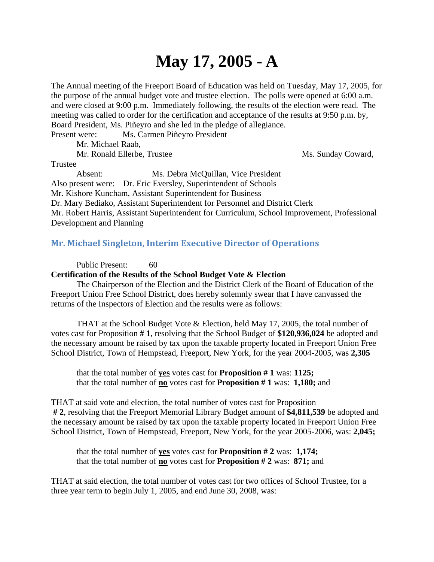## **May 17, 2005 - A**

The Annual meeting of the Freeport Board of Education was held on Tuesday, May 17, 2005, for the purpose of the annual budget vote and trustee election. The polls were opened at 6:00 a.m. and were closed at 9:00 p.m. Immediately following, the results of the election were read. The meeting was called to order for the certification and acceptance of the results at 9:50 p.m. by, Board President, Ms. Piñeyro and she led in the pledge of allegiance.

Present were: Ms. Carmen Piñeyro President

Mr. Michael Raab,

Mr. Ronald Ellerbe, Trustee Ms. Sunday Coward,

Trustee

 Absent: Ms. Debra McQuillan, Vice President Also present were: Dr. Eric Eversley, Superintendent of Schools Mr. Kishore Kuncham, Assistant Superintendent for Business Dr. Mary Bediako, Assistant Superintendent for Personnel and District Clerk Mr. Robert Harris, Assistant Superintendent for Curriculum, School Improvement, Professional Development and Planning

## **Mr. Michael Singleton, Interim Executive Director of Operations**

Public Present: 60

## **Certification of the Results of the School Budget Vote & Election**

 The Chairperson of the Election and the District Clerk of the Board of Education of the Freeport Union Free School District, does hereby solemnly swear that I have canvassed the returns of the Inspectors of Election and the results were as follows:

 THAT at the School Budget Vote & Election, held May 17, 2005, the total number of votes cast for Proposition **# 1**, resolving that the School Budget of **\$120,936,024** be adopted and the necessary amount be raised by tax upon the taxable property located in Freeport Union Free School District, Town of Hempstead, Freeport, New York, for the year 2004-2005, was **2,305**

 that the total number of **yes** votes cast for **Proposition # 1** was: **1125;** that the total number of **no** votes cast for **Proposition # 1** was: **1,180;** and

THAT at said vote and election, the total number of votes cast for Proposition **# 2**, resolving that the Freeport Memorial Library Budget amount of **\$4,811,539** be adopted and the necessary amount be raised by tax upon the taxable property located in Freeport Union Free School District, Town of Hempstead, Freeport, New York, for the year 2005-2006, was: **2,045;**

that the total number of **yes** votes cast for **Proposition # 2** was: **1,174;** that the total number of **no** votes cast for **Proposition # 2** was: **871;** and

THAT at said election, the total number of votes cast for two offices of School Trustee, for a three year term to begin July 1, 2005, and end June 30, 2008, was: